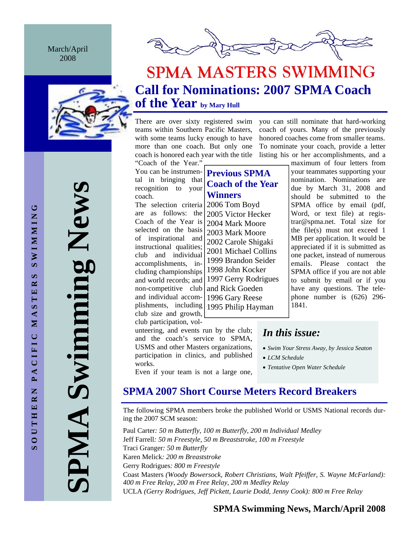March/April 2008





# **SPMA MASTERS SWIMMING Call for Nominations: 2007 SPMA Coach of the Year by Mary Hull**

There are over sixty registered swim teams within Southern Pacific Masters, with some teams lucky enough to have more than one coach. But only one coach is honored each year with the title

"Coach of the Year." You can be instrumental in bringing that recognition to your coach.

The selection criteria are as follows: the Coach of the Year is selected on the basis of inspirational and instructional qualities; club and individual accomplishments, including championships and world records; and non-competitive club and individual accomplishments, including club size and growth, club participation, voland Rick Goeden 1995 Philip Hayman

works.

unteering, and events run by the club; and the coach's service to SPMA, USMS and other Masters organizations, participation in clinics, and published

Even if your team is not a large one,

**Previous SPMA Coach of the Year Winners**  2006 Tom Boyd 2005 Victor Hecker 2004 Mark Moore 2003 Mark Moore

2002 Carole Shigaki 2001 Michael Collins 1999 Brandon Seider 1998 John Kocker 1997 Gerry Rodrigues

1996 Gary Reese

To nominate your coach, provide a letter listing his or her accomplishments, and a maximum of four letters from your teammates supporting your nomination. Nominations are due by March 31, 2008 and should be submitted to the SPMA office by email (pdf, Word, or text file) at registrar@spma.net. Total size for the file(s) must not exceed 1

you can still nominate that hard-working coach of yours. Many of the previously honored coaches come from smaller teams.

> MB per application. It would be appreciated if it is submitted as one packet, instead of numerous emails. Please contact the SPMA office if you are not able to submit by email or if you have any questions. The telephone number is (626) 296- 1841.

# *In this issue:*

- *Swim Your Stress Away, by Jessica Seaton*
- *LCM Schedule*
- *Tentative Open Water Schedule*

# **SPMA 2007 Short Course Meters Record Breakers**

The following SPMA members broke the published World or USMS National records during the 2007 SCM season:

Paul Carter*: 50 m Butterfly, 100 m Butterfly, 200 m Individual Medley*  Jeff Farrell*: 50 m Freestyle, 50 m Breaststroke, 100 m Freestyle*  Traci Granger*: 50 m Butterfly*  Karen Melick*: 200 m Breaststroke*  Gerry Rodrigues*: 800 m Freestyle*  Coast Masters *(Woody Bowersock, Robert Christians, Walt Pfeiffer, S. Wayne McFarland): 400 m Free Relay, 200 m Free Relay, 200 m Medley Relay*  UCLA *(Gerry Rodrigues, Jeff Pickett, Laurie Dodd, Jenny Cook): 800 m Free Relay* 

**SOUTHERN PACIFIC MASTERS SWIMMING SWIMMING**  $\boldsymbol{\omega}$ MASTER PACIFIC OUTHERN  $\bar{a}$  **SPMA Swimming News**  Swimming New AIMP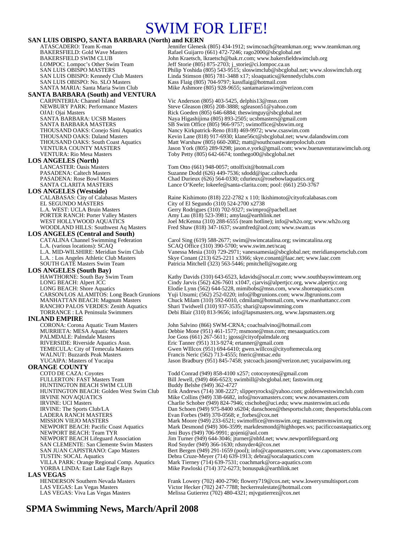# SWIM FOR LIFE!

# **SAN LUIS OBISPO, SANTA BARBARA (North) and KERN**<br>ATASCADERO: Team K-man<br>Jennifer Glenesl

# **SANTA BARBARA (South) and VENTURA**<br>CARPINTERIA: Channel Island

**LOS ANGELES (North)**<br>LANCASTER: Oasis Masters

# **LOS ANGELES (Westside)**

EL SEGUNDO MÁSTERS<br>
L.A. WEST: UCLA Bruin Masters Gerry Rodrigues (310) 702-9327; swimpro

# **LOS ANGELES (Central and South)**<br>CATALINA Channel Swimming Federation

**LOS ANGELES (South Bay)** 

**INLAND EMPIRE**<br>CORONA: Corona Aquatic Team Masters

**ORANGE COUNTY**<br>COTO DE CAZA: Coyotes HUNTINGTON BEACH SWIM CLUB<br>HUNTINGTON BEACH: Golden West Swim Club LADERA RANCH MASTERS Evan Forbes (949) 370-0568; e\_forbes @cox.net<br>MISSION VIEJO MASTERS Mark Moore (949) 233-6521; swimoffice@mvns NEWPORT BEACH: Team TYR Jeni Buys (949) 706-9991; gojeni@aol.com<br>NEWPORT BEACH Lifeguard Association Jim Turner (949) 644-3046; jturner@nbfd.n SAN CLEMENTE: San Clemente Swim Masters Rod Snyder (949) 366-1630; rdsnyder4@cox.net<br>SAN JUAN CAPISTRANO: Capo Masters Bert Bergen (949) 291-1659 (pool); info@capom **LAS VEGAS**<br> **HENDERSON Southern Nevada Masters** 

ATASCADERO: Team K-man Jennifer Glenesk (805) 434-1912; swimcoach@teamkman.org; www.teamkman.org<br>BAKERSFIELD: Gold Wave Masters Rafael Guijarro (661) 472-7246; rago2000@sbcglobal.net BAKERSFIELD: Gold Wave Masters **Rafael Guijarro (661) 472-7246; rago2000@sbcglobal.net**<br>BAKERSFIELD SWIM CLUB **Democration of Bakersfields** John Kraetsch, lkraetsch@bak.rr.com; www.bakersfieldsw BAKERSFIELD SWIM CLUB<br>
LOMPOC: Lompoc's Other Swim Team Jeff Storie (805) 875-2703; j\_storie@ci.lompoc.ca.us LOMPOC: Lompoc's Other Swim Team Jeff Storie (805) 875-2703; j\_storie@ci.lompoc.ca.us SAN LUIS OBISPO MASTERS Philip Yoshida (805) 543-9515; sloswimclub@sbcglobal.net; www.sloswimclub.org SAN LUIS OBISPO: Kennedy Club Masters Linda Stimson (805) 781-3488 x17; sloaquatics@kennedyclubs.com<br>SAN LUIS OBISPO: No. SLO Masters Kass Flaig (805) 704-9797; kassflaig@hotmail.com Kass Flaig (805) 704-9797; kassflaig@hotmail.com SANTA MARIA: Santa Maria Swim Club Mike Ashmore (805) 928-9655; santamariaswim@verizon.com

CARPINTERIA: Channel Island Vic Anderson (805) 403-5425, delphis13@msn.com<br>NEWBURY PARK: Performance Masters Steve Gleason (805) 208-3888; sgleason51@vahoo.c Steve Gleason  $(805)$  208-3888; sgleason51@yahoo.com OJAI: Ojai Masters Rick Goeden (805) 646-6884; theswimguy@sbcglobal.net<br>
SANTA BARBARA: UCSB Masters Research Maya Higashijima (805) 893-2505; ucsbmasters@gmail.co SANTA BARBARA: UCSB Masters Naya Higashijima (805) 893-2505; ucsbmasters@gmail.com<br>SANTA BARBARA MASTERS SS Swim Office (805) 966-9757; swimoffice@sbswim.org SANTA BARBARA MASTERS SB Swim Office (805) 966-9757; swimoffice@sbswim.org<br>THOUSAND OAKS: Conejo Simi Aquatics Nancy Kirkpatrick-Reno (818) 469-9972; www.csaswim.cc THOUSAND OAKS: Conejo Simi Aquatics Nancy Kirkpatrick-Reno (818) 469-9972; www.csaswim.com<br>THOUSAND OAKS: Daland Masters Kevin Lane (818) 917-6930; klane56ct@sbcglobal.net; www. THOUSAND OAKS: Daland Masters Kevin Lane (818) 917-6930; klane56ct@sbcglobal.net; www.dalandswim.com<br>THOUSAND OAKS: South Coast Aquatics Matt Warshaw (805) 660-2082; matt@southcoastwaterpoloclub.com<br>VENTURA COUNTY MASTERS Matt Warshaw (805) 660-2082; matt@southcoastwaterpoloclub.com VENTURA COUNTY MASTERS Jason York (805) 289-9298; jason.e.york@gmail.com; www.buenaventuraswimclub.org<br>VENTURA: Rio Mesa Masters Toby Petty (805) 642-6674; tonthego00@sbcglobal.net Toby Petty (805) 642-6674; tonthego00@sbcglobal.net

LANCASTER: Oasis Masters Tom Otto (661) 948-0057; ottolfixit@hotmail.com PASADENA: Caltech Masters Suzanne Dodd (626) 449-7536; sdodd@ipac.caltech.edu PASADENA: Rose Bowl Masters Chad Durieux (626) 564-0330; cdurieux @rosebowlaquatics.org<br>SANTA CLARITA MASTERS Lance O'Keefe; lokeefe@santa-clarita.com; pool: (661) 250-376 Lance O'Keefe; lokeefe@santa-clarita.com; pool: (661) 250-3767

CALABASAS: City of Calabasas Masters Raine Kishimoto (818) 222-2782 x 110; lkishimoto@cityofcalabasas.com<br>EL SEGUNDO MASTERS City of El Segundo (310) 524-2700 x2738 L.A. WEST: UCLA Bruin Masters Gerry Rodrigues (310) 702-9327; swimpro@pacbell.net<br>
PORTER RANCH: Porter Valley Masters Amy Lau (818) 523-3981; amy lau@earthlink.net PORTER RANCH: Porter Valley Masters Amy Lau (818) 523-3981; amylau@earthlink.net<br>WEST HOLLYWOOD AQUATICS Joel McKenna (310) 288-6555 (team hotline); inf WEST HOLLYWOOD AQUATICS Joel McKenna (310) 288-6555 (team hotline); info@wh2o.org; www.wh2o.org<br>WOODLAND HILLS: Southwest Aq Masters Fred Shaw (818) 347-1637; swamfred@aol.com; www.swam.us Fred Shaw (818) 347-1637; swamfred@aol.com; www.swam.us

Carol Sing (619) 588-2677; swim@swimcatalina.org; swimcatalina.org L.A. (various locations): SCAQ STAQ SCAQ Office (310) 390-5700; www.swim.net/scaq<br>L.A. MID-WILSHIRE: Meridian Swim Club Vanessa Mesia (310) 729-2971; vanessamesia@sbc L.A. MID-WILSHIRE: Meridian Swim Club Vanessa Mesia (310) 729-2971; vanessamesia@sbcglobal.net; meridiansportsclub.com<br>L.A. : Los Angeles Athletic Club Masters Skye Conant (213) 625-2211 x3366; skye.conant@laac.net; www.la L.A. : Los Angeles Athletic Club Masters Skye Conant (213) 625-2211 x3366; skye.conant@laac.net; www.laac.com<br>SOUTH GATE Masters Swim Team Patricia Mitchell (323) 563-5446; pmitchell @sogate.org Patricia Mitchell (323) 563-5446; pmitchell@sogate.org

HAWTHORNE: South Bay Swim Team Kathy Davids (310) 643-6523, kdavids @socal.rr.com; www.southbayswimteam.org<br>
LONG BEACH: Alpert JCC COM Cindy Jarvis (562) 426-7601 x1047, cjarvis @alpertjcc.org, www.alpertjcc.org LONG BEACH: Alpert JCC Cindy Jarvis (562) 426-7601 x1047, cjarvis@alpertjcc.org, www.alpertjcc.org<br>LONG BEACH: Shore Aquatics Elodie Lynn (562) 644-5228, mimibobs@msn.com, www.shoreaquatics.com LONG BEACH: Shore Aquatics Elodie Lynn (562) 644-5228, mimibobs@msn.com, www.shoreaquatics.com<br>CARSON/LOS ALAMITOS: Long Beach Grunions Yuji Utsumi; (562) 252-0220; info@lbgrunions.com; www.lbgrunions.com CARSON/LOS ALAMITOS: Long Beach Grunions Yuji Utsumi; (562) 252-0220; info@lbgrunions.com; www.lbgrunions.com MANHATTAN BEACH: Magnum Masters Chuck Milam (310) 592-6010, cdmilam @hotmail.com, www.manhattancc.com<br>RANCHO PALOS VERDES: Zenith Aquatics Shari Twidwell (310) 937-3535; shari@zapswimming.com Shari Twidwell (310) 937-3535; shari@zapswimming.com TORRANCE : LA Peninsula Swimmers Debi Blair (310) 813-9656; info@lapsmasters.org, www.lapsmasters.org

CORONA: Corona Aquatic Team Masters John Salvino (866) SWM-CRNA; coachsalvino@hotmail.com Debbie Mone (951) 461-1577; msmone@msn.com; mesaaquatics.com PALMDALE: Palmdale Masters Joe Goss (661) 267-5611; jgoss@cityofpalmdale.org<br>RIVERSIDE: Riverside Aquatics Assn. Eric Tanner (951) 313-9274; ertanner@gmail.com Eric Tanner (951) 313-9274; ertanner@gmail.com TEMECULA: City of Temecula Masters Gwen WIllcox (951) 694-6410; gwen willcox @cityoftemecula.org<br>WALNUT: Buzzards Peak Masters Francis Neric (562) 713-4555; fneric@mtsac.edu WALNUT: Buzzards Peak Masters Francis Neric (562) 713-4555; fneric@mtsac.edu<br>YUCAIPA: Masters of Yucaipa Francis Neradbury (951) 845-7458; vstcoach.jason@ Jason Bradbury (951) 845-7458; ystcoach.jason@verizon.net; yucaipaswim.org

Todd Conrad (949) 858-4100 x257; cotocoyotes@gmail.com FULLERTON: FAST Masters Team Bill Jewell, (949) 466-6523; swimbill@sbcglobal.net; fastswim.org<br>HUNTINGTON BEACH SWIM CLUB Buddy Belshe (949) 362-4727 Erik Andrews (714) 308-2227; slipperyrocks@yahoo.com; goldenwestswimclub.com IRVINE NOVAQUATICS Mike Collins (949) 338-6682, info@novamasters.com; www.novamasters.com<br>IRVINE: UCI Masters<br>charlie Schober (949) 824-7946; ctschobe@uci.edu; www.masterswim.uci.edu IRVINE: UCI Masters<br>
IRVINE: The Sports Club/LA<br>
Dan Schoen (949) 975-8400 x6204; danschoen@thesportsclub.com; thesportscl IRVINE: The Sports Club/LA Dan Schoen (949) 975-8400 x6204; danschoen@thesportsclub.com; thesportsclubla.com<br>
LADERA RANCH MASTERS Evan Forbes (949) 370-0568; e\_forbes @cox.net MISSION VIEJO MASTERS<br>Mark Moore (949) 233-6521; swimoffice@mvnswim.org; mastersmvnswim.org<br>Mark Desmond (949) 306-3599; markdesmond@highhopes.ws; pacificcoastaqua Mark Desmond (949) 306-3599; markdesmond@highhopes.ws; pacific coastaquatics.org NEWPORT BEACH Lifeguard Association Jim Turner (949) 644-3046; jturner@nbfd.net; www.newportlifeguard.org<br>SAN CLEMENTE: San Clemente Swim Masters Rod Snyder (949) 366-1630; rdsnyder4@cox.net SAN JUAN CAPISTRANO: Capo Masters Bert Bergen (949) 291-1659 (pool); info@capomasters.com; www.capomasters.com<br>TUSTIN: SOCAL Aquatics Debra Cruze-Meyer (714) 639-1913; debra@socalaquatics.com TUSTIN: SOCAL Aquatics Debra Cruze-Meyer (714) 639-1913; debra@socalaquatics.com Mark Tierney (714) 639-7531; coachmark@orca-aquatics.com YORBA LINDA: East Lake Eagle Rays Mike Pawloski (714) 372-6273; bonuspak@earthlink.net

HENDERSON Southern Nevada Masters Frank Lowery (702) 400-2790; flowery 719@cox.net; www.lowerysmultisport.com<br>
LAS VEGAS: Las Vegas Masters Victor Hecker (702) 247-7788; heckerrealestate@hotmail.com<br>
LAS VEGAS: Viva Las Ve Victor Hecker (702) 247-7788; heckerrealestate@hotmail.com Melissa Gutierrez (702) 480-4321; mjvgutierrez@cox.net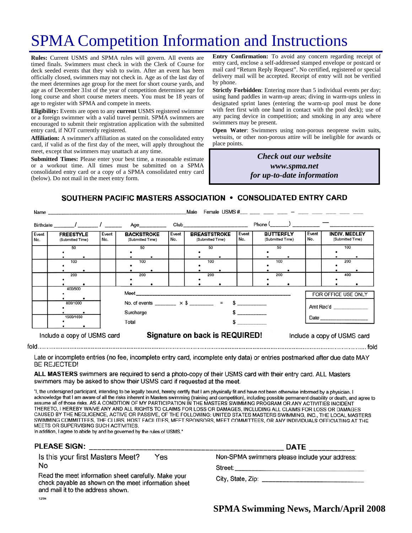# SPMA Competition Information and Instructions

**Rules:** Current USMS and SPMA rules will govern. All events are timed finals. Swimmers must check in with the Clerk of Course for deck seeded events that they wish to swim. After an event has been officially closed, swimmers may not check in. Age as of the last day of the meet determines age group for the meet for short course yards, and age as of December 31st of the year of competition determines age for long course and short course meters meets. You must be 18 years of age to register with SPMA and compete in meets.

**Eligibility:** Events are open to any **current** USMS registered swimmer or a foreign swimmer with a valid travel permit. SPMA swimmers are encouraged to submit their registration application with the submitted entry card, if NOT currently registered.

**Affiliation:** A swimmer's affiliation as stated on the consolidated entry card, if valid as of the first day of the meet, will apply throughout the meet, except that swimmers may unattach at any time.

**Submitted Times:** Please enter your best time, a reasonable estimate or a workout time. All times must be submitted on a SPMA consolidated entry card or a copy of a SPMA consolidated entry card (below). Do not mail in the meet entry form.

**Entry Confirmation:** To avoid any concern regarding receipt of entry card, enclose a self-addressed stamped envelope or postcard or mail card "Return Reply Request". No certified, registered or special delivery mail will be accepted. Receipt of entry will not be verified by phone.

**Strictly Forbidden**: Entering more than 5 individual events per day; using hand paddles in warm-up areas; diving in warm-ups unless in designated sprint lanes (entering the warm-up pool must be done with feet first with one hand in contact with the pool deck); use of any pacing device in competition; and smoking in any area where swimmers may be present.

**Open Water**: Swimmers using non-porous neoprene swim suits, wetsuits, or other non-porous attire will be ineligible for awards or place points.

> *Check out our website www.spma.net for up-to-date information*

SOUTHERN PACIFIC MASTERS ASSOCIATION . CONSOLIDATED ENTRY CARD

| Male<br>Name |                                                      |  |                                       |                                                                       |              |                                         |                                                                                                                                                                                                                                |              |                                      |     |                             |                                          |     |  |
|--------------|------------------------------------------------------|--|---------------------------------------|-----------------------------------------------------------------------|--------------|-----------------------------------------|--------------------------------------------------------------------------------------------------------------------------------------------------------------------------------------------------------------------------------|--------------|--------------------------------------|-----|-----------------------------|------------------------------------------|-----|--|
|              |                                                      |  |                                       | Age_________                                                          |              |                                         | Club and the contract of the contract of the contract of the contract of the contract of the contract of the contract of the contract of the contract of the contract of the contract of the contract of the contract of the c |              |                                      |     |                             |                                          |     |  |
| Event<br>No. | Event<br><b>FREESTYLE</b><br>No.<br>(Submitted Time) |  | <b>BACKSTROKE</b><br>(Submitted Time) |                                                                       | Event<br>No. | <b>BREASTSTROKE</b><br>(Submitted Time) |                                                                                                                                                                                                                                | Event<br>No. | <b>BUTTERFLY</b><br>(Submitted Time) |     | Event<br>No.                | <b>INDIV. MEDLEY</b><br>(Submitted Time) |     |  |
|              | 50                                                   |  | 50                                    |                                                                       |              |                                         | 50                                                                                                                                                                                                                             |              |                                      | 50  |                             |                                          | 100 |  |
|              | 100                                                  |  | 100                                   |                                                                       |              |                                         | 100                                                                                                                                                                                                                            |              |                                      | 100 |                             |                                          | 200 |  |
|              | 200                                                  |  | 200                                   |                                                                       |              |                                         | 200                                                                                                                                                                                                                            |              |                                      | 200 |                             |                                          | 400 |  |
|              | 400/500                                              |  |                                       |                                                                       |              |                                         |                                                                                                                                                                                                                                |              |                                      |     |                             | FOR OFFICE USE ONLY                      |     |  |
|              | 800/1000                                             |  |                                       | No. of events ________ $\times$ \$ _______ = \$ ________<br>Surcharge |              |                                         |                                                                                                                                                                                                                                |              |                                      |     |                             | Amt Rec'd                                |     |  |
| 1500/1650    |                                                      |  | Total                                 |                                                                       |              |                                         |                                                                                                                                                                                                                                |              |                                      |     |                             |                                          |     |  |
|              | Include a copy of USMS card                          |  | Signature on back is REQUIRED!        |                                                                       |              |                                         |                                                                                                                                                                                                                                |              |                                      |     | Include a copy of USMS card |                                          |     |  |

Late or incomplete entries (no fee, incomplete entry card, incomplete enty data) or entries postmarked after due date MAY **BE REJECTED!** 

ALL MASTERS swimmers are required to send a photo-copy of their USMS card with their entry card. ALL Masters swimmers may be asked to show their USMS card if requested at the meet.

"I, the undersigned participant, intending to be legally bound, hereby certify that I am physically fit and have not been otherwise informed by a physician. I acknowledge that I am aware of all the risks inherent in Masters swimming (training and competition), including possible permanent disability or death, and agree to assume all of those risks. AS A CONDITION OF MY PARTICIPATION IN THE MASTERS SWIMMING PROGRAM OR ANY ACTIVITIES INCIDENT THERETO, I HEREBY WAIVE ANY AND ALL RIGHTS TO CLAIMS FOR LOSS OR DAMAGES, INCLUDING ALL CLAIMS FOR LOSS OR DAMAGES CAUSED BY THE NEGLIGENCE, ACTIVE OR PASSIVE, OF THE FOLLOWING: UNITED STATES MASTERS SWIMMING, INC., THE LOCAL MASTERS SWIMMING COMMITTEES, THE CLUBS, HOST FACILITIES, MEET SPONSORS, MEET COMMITTEES, OR ANY INDIVIDUALS OFFICIATING AT THE MEETS OR SUPERVISING SUCH ACTIVITIES.

In addition, I agree to abide by and be governed by the rules of USMS."

12/94

| <b>PLEASE SIGN:</b>                                                                                                                               |     | <b>DATE</b>                                    |
|---------------------------------------------------------------------------------------------------------------------------------------------------|-----|------------------------------------------------|
| Is this your first Masters Meet?                                                                                                                  | Yes | Non-SPMA swimmers please include your address: |
| No                                                                                                                                                |     | Street: __________________                     |
| Read the meet information sheet carefully. Make your<br>check payable as shown on the meet information sheet<br>and mail it to the address shown. |     |                                                |

**SPMA Swimming News, March/April 2008** 

 $h$ lot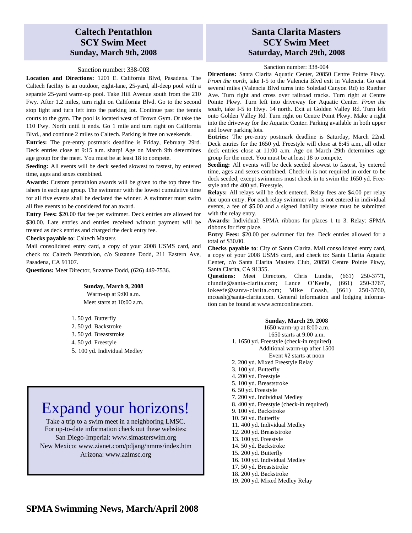## **Caltech Pentathlon SCY Swim Meet Sunday, March 9th, 2008**

#### Sanction number: 338-003

**Location and Directions:** 1201 E. California Blvd, Pasadena. The Caltech facility is an outdoor, eight-lane, 25-yard, all-deep pool with a separate 25-yard warm-up pool. Take Hill Avenue south from the 210 Fwy. After 1.2 miles, turn right on California Blvd. Go to the second stop light and turn left into the parking lot. Continue past the tennis courts to the gym. The pool is located west of Brown Gym. Or take the 110 Fwy. North until it ends. Go 1 mile and turn right on California Blvd., and continue 2 miles to Caltech. Parking is free on weekends.

**Entries:** The pre-entry postmark deadline is Friday, February 29rd. Deck entries close at 9:15 a.m. sharp! Age on March 9th determines age group for the meet. You must be at least 18 to compete.

**Seeding:** All events will be deck seeded slowest to fastest, by entered time, ages and sexes combined.

**Awards:** Custom pentathlon awards will be given to the top three finishers in each age group. The swimmer with the lowest cumulative time for all five events shall be declared the winner. A swimmer must swim all five events to be considered for an award.

**Entry Fees:** \$20.00 flat fee per swimmer. Deck entries are allowed for \$30.00. Late entries and entries received without payment will be treated as deck entries and charged the deck entry fee.

#### **Checks payable to**: Caltech Masters

Mail consolidated entry card, a copy of your 2008 USMS card, and check to: Caltech Pentathlon, c/o Suzanne Dodd, 211 Eastern Ave, Pasadena, CA 91107.

**Questions:** Meet Director, Suzanne Dodd, (626) 449-7536.

# **Sunday, March 9, 2008**

Warm-up at 9:00 a.m. Meet starts at 10:00 a.m.

1. 50 yd. Butterfly 2. 50 yd. Backstroke 3. 50 yd. Breaststroke 4. 50 yd. Freestyle 5. 100 yd. Individual Medley

# Expand your horizons!

Take a trip to a swim meet in a neighboring LMSC. For up-to-date information check out these websites: San Diego-Imperial: www.simasterswim.org New Mexico: www.zianet.com/pdjang/nmms/index.htm Arizona: www.azlmsc.org

## **Santa Clarita Masters SCY Swim Meet Saturday, March 29th, 2008**

#### Sanction number: 338-004

**Directions:** Santa Clarita Aquatic Center, 20850 Centre Pointe Pkwy. *From the north*, take I-5 to the Valencia Blvd exit in Valencia. Go east several miles (Valencia Blvd turns into Soledad Canyon Rd) to Ruether Ave. Turn right and cross over railroad tracks. Turn right at Centre Pointe Pkwy. Turn left into driveway for Aquatic Center. *From the south*, take I-5 to Hwy. 14 north. Exit at Golden Valley Rd. Turn left onto Golden Valley Rd. Turn right on Centre Point Pkwy. Make a right into the driveway for the Aquatic Center. Parking available in both upper and lower parking lots.

**Entries:** The pre-entry postmark deadline is Saturday, March 22nd. Deck entries for the 1650 yd. Freestyle will close at 8:45 a.m., all other deck entries close at 11:00 a.m. Age on March 29th determines age group for the meet. You must be at least 18 to compete.

**Seeding:** All events will be deck seeded slowest to fastest, by entered time, ages and sexes combined. Check-in is not required in order to be deck seeded, except swimmers must check in to swim the 1650 yd. Freestyle and the 400 yd. Freestyle.

**Relays:** All relays will be deck entered. Relay fees are \$4.00 per relay due upon entry. For each relay swimmer who is not entered in individual events, a fee of \$5.00 and a signed liability release must be submitted with the relay entry.

**Awards:** Individual: SPMA ribbons for places 1 to 3. Relay: SPMA ribbons for first place.

**Entry Fees:** \$20.00 per swimmer flat fee. Deck entries allowed for a total of \$30.00.

**Checks payable to**: City of Santa Clarita. Mail consolidated entry card, a copy of your 2008 USMS card, and check to: Santa Clarita Aquatic Center, c/o Santa Clarita Masters Club, 20850 Centre Pointe Pkwy, Santa Clarita, CA 91355.

**Questions:** Meet Directors, Chris Lundie, (661) 250-3771, clundie@santa-clarita.com; Lance O'Keefe, (661) 250-3767, lokeefe@santa-clarita.com; Mike Coash, (661) 250-3760, mcoash@santa-clarita.com. General information and lodging information can be found at www.scmconline.com.

#### **Sunday, March 29. 2008**

1650 warm-up at 8:00 a.m. 1650 starts at 9:00 a.m. 1. 1650 yd. Freestyle (check-in required) Additional warm-up after 1500 Event #2 starts at noon 2. 200 yd. Mixed Freestyle Relay 3. 100 yd. Butterfly 4. 200 yd. Freestyle 5. 100 yd. Breaststroke 6. 50 yd. Freestyle 7. 200 yd. Individual Medley 8. 400 yd. Freestyle (check-in required) 9. 100 yd. Backstroke 10. 50 yd. Butterfly 11. 400 yd. Individual Medley 12. 200 yd. Breaststroke 13. 100 yd. Freestyle 14. 50 yd. Backstroke 15. 200 yd. Butterfly 16. 100 yd. Individual Medley 17. 50 yd. Breaststroke 18. 200 yd. Backstroke 19. 200 yd. Mixed Medley Relay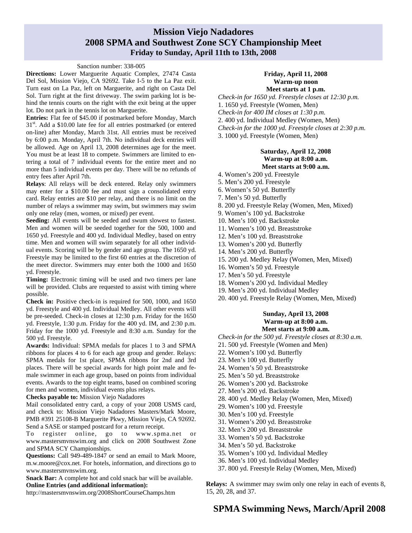### **Mission Viejo Nadadores 2008 SPMA and Southwest Zone SCY Championship Meet Friday to Sunday, April 11th to 13th, 2008**

#### Sanction number: 338-005

**Directions:** Lower Marguerite Aquatic Complex, 27474 Casta Del Sol, Mission Viejo, CA 92692. Take I-5 to the La Paz exit. Turn east on La Paz, left on Marguerite, and right on Casta Del Sol. Turn right at the first driveway. The swim parking lot is behind the tennis courts on the right with the exit being at the upper lot. Do not park in the tennis lot on Marguerite.

**Entries:** Flat fee of \$45.00 if postmarked before Monday, March 31<sup>st</sup>. Add a \$10.00 late fee for all entries postmarked (or entered on-line) after Monday, March 31st. All entries must be received by 6:00 p.m. Monday, April 7th. No individual deck entries will be allowed. Age on April 13, 2008 determines age for the meet. You must be at least 18 to compete. Swimmers are limited to entering a total of 7 individual events for the entire meet and no more than 5 individual events per day. There will be no refunds of entry fees after April 7th.

**Relays**: All relays will be deck entered. Relay only swimmers may enter for a \$10.00 fee and must sign a consolidated entry card. Relay entries are \$10 per relay, and there is no limit on the number of relays a swimmer may swim, but swimmers may swim only one relay (men, women, or mixed) per event.

**Seeding:** All events will be seeded and swum slowest to fastest. Men and women will be seeded together for the 500, 1000 and 1650 yd. Freestyle and 400 yd. Individual Medley, based on entry time. Men and women will swim separately for all other individual events. Scoring will be by gender and age group. The 1650 yd. Freestyle may be limited to the first 60 entries at the discretion of the meet director. Swimmers may enter both the 1000 and 1650 yd. Freestyle.

**Timing:** Electronic timing will be used and two timers per lane will be provided. Clubs are requested to assist with timing where possible.

**Check in:** Positive check-in is required for 500, 1000, and 1650 yd. Freestyle and 400 yd. Individual Medley. All other events will be pre-seeded. Check-in closes at 12:30 p.m. Friday for the 1650 yd. Freestyle, 1:30 p.m. Friday for the 400 yd. IM, and 2:30 p.m. Friday for the 1000 yd. Freestyle and 8:30 a.m. Sunday for the 500 yd. Freestyle.

**Awards:** Individual: SPMA medals for places 1 to 3 and SPMA ribbons for places 4 to 6 for each age group and gender. Relays: SPMA medals for 1st place, SPMA ribbons for 2nd and 3rd places. There will be special awards for high point male and female swimmer in each age group, based on points from individual events. Awards to the top eight teams, based on combined scoring for men and women, individual events plus relays.

**Checks payable to:** Mission Viejo Nadadores

Mail consolidated entry card, a copy of your 2008 USMS card, and check to: Mission Viejo Nadadores Masters/Mark Moore, PMB #391 25108-B Marguerite Pkwy, Mission Viejo, CA 92692. Send a SASE or stamped postcard for a return receipt.

To register online, go to www.spma.net or www.mastersmvnswim.org and click on 2008 Southwest Zone and SPMA SCY Championships.

**Questions:** Call 949-489-1847 or send an email to Mark Moore, m.w.moore@cox.net. For hotels, information, and directions go to www.mastersmvnswim.org.

**Snack Bar:** A complete hot and cold snack bar will be available. **Online Entries (and additional information):** 

http://mastersmvnswim.org/2008ShortCourseChamps.htm

#### **Friday, April 11, 2008 Warm-up noon Meet starts at 1 p.m.**

*Check-in for 1650 yd. Freestyle closes at 12:30 p.m.*  1. 1650 yd. Freestyle (Women, Men) *Check-in for 400 IM closes at 1:30 p.m.*  2. 400 yd. Individual Medley (Women, Men) *Check-in for the 1000 yd. Freestyle closes at 2:30 p.m.*  3. 1000 yd. Freestyle (Women, Men)

### **Saturday, April 12, 2008 Warm-up at 8:00 a.m.**

### **Meet starts at 9:00 a.m.**

- 4. Women's 200 yd. Freestyle
- 5. Men's 200 yd. Freestyle
- 6. Women's 50 yd. Butterfly
- 7. Men's 50 yd. Butterfly
- 8. 200 yd. Freestyle Relay (Women, Men, Mixed)
- 9. Women's 100 yd. Backstroke
- 10. Men's 100 yd. Backstroke
- 11. Women's 100 yd. Breaststroke
- 12. Men's 100 yd. Breaststroke
- 13. Women's 200 yd. Butterfly
- 14. Men's 200 yd. Butterfly
- 15. 200 yd. Medley Relay (Women, Men, Mixed)
- 16. Women's 50 yd. Freestyle
- 17. Men's 50 yd. Freestyle
- 18. Women's 200 yd. Individual Medley
- 19. Men's 200 yd. Individual Medley
- 20. 400 yd. Freestyle Relay (Women, Men, Mixed)

#### **Sunday, April 13, 2008 Warm-up at 8:00 a.m. Meet starts at 9:00 a.m.**

*Check-in for the 500 yd. Freestyle closes at 8:30 a.m.* 

- 21. 500 yd. Freestyle (Women and Men)
- 22. Women's 100 yd. Butterfly
- 23. Men's 100 yd. Butterfly
- 24. Women's 50 yd. Breaststroke
- 25. Men's 50 yd. Breaststroke
- 26. Women's 200 yd. Backstroke
- 27. Men's 200 yd. Backstroke
- 28. 400 yd. Medley Relay (Women, Men, Mixed)
- 29. Women's 100 yd. Freestyle
- 30. Men's 100 yd. Freestyle
- 31. Women's 200 yd. Breaststroke
- 32. Men's 200 yd. Breaststroke
- 33. Women's 50 yd. Backstroke
- 34. Men's 50 yd. Backstroke
- 35. Women's 100 yd. Individual Medley
- 36. Men's 100 yd. Individual Medley
- 37. 800 yd. Freestyle Relay (Women, Men, Mixed)

**Relays:** A swimmer may swim only one relay in each of events 8, 15, 20, 28, and 37.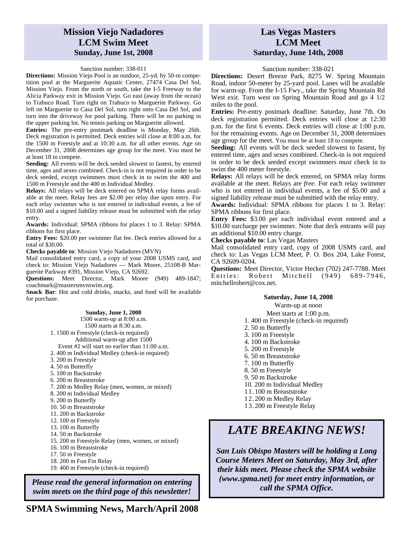## **Mission Viejo Nadadores LCM Swim Meet Sunday, June 1st, 2008**

#### Sanction number: 338-011

**Directions:** Mission Viejo Pool is an outdoor, 25-yd. by 50-m competition pool at the Marguerite Aquatic Center, 27474 Casa Del Sol, Mission Viejo. From the north or south, take the I-5 Freeway to the Alicia Parkway exit in Mission Viejo. Go east (away from the ocean) to Trabuco Road. Turn right on Trabuco to Marguerite Parkway. Go left on Marguerite to Casa Del Sol, turn right onto Casa Del Sol, and turn into the driveway for pool parking. There will be no parking in the upper parking lot. No tennis parking on Marguerite allowed.

**Entries:** The pre-entry postmark deadline is Monday, May 26th. Deck registration is permitted. Deck entries will close at 8:00 a.m. for the 1500 m Freestyle and at 10:30 a.m. for all other events. Age on December 31, 2008 determines age group for the meet. You must be at least 18 to compete.

**Seeding:** All events will be deck seeded slowest to fastest, by entered time, ages and sexes combined. Check-in is not required in order to be deck seeded, except swimmers must check in to swim the 400 and 1500 m Freestyle and the 400 m Individual Medley.

**Relays:** All relays will be deck entered on SPMA relay forms available at the meet. Relay fees are \$2.00 per relay due upon entry. For each relay swimmer who is not entered in individual events, a fee of \$10.00 and a signed liability release must be submitted with the relay entry.

**Awards:** Individual: SPMA ribbons for places 1 to 3. Relay: SPMA ribbons for first place.

**Entry Fees:** \$20.00 per swimmer flat fee. Deck entries allowed for a total of \$30.00.

**Checks payable to**: Mission Viejo Nadadores (MVN)

Mail consolidated entry card, a copy of your 2008 USMS card, and check to: Mission Viejo Nadadores — Mark Moore, 25108-B Marguerite Parkway #391, Mission Viejo, CA 92692.

**Questions:** Meet Director, Mark Moore (949) 489-1847; coachmark@mastersmvnswim.org.

**Snack Bar**: Hot and cold drinks, snacks, and food will be available for purchase.

#### **Sunday, June 1, 2008**

1500 warm-up at 8:00 a.m. 1500 starts at 8:30 a.m. 1. 1500 m Freestyle (check-in required) Additional warm-up after 1500 Event #2 will start no earlier than 11:00 a.m. 2. 400 m Individual Medley (check-in required) 3. 200 m Freestyle 4. 50 m Butterfly 5. 100 m Backstroke 6. 200 m Breaststroke 7. 200 m Medley Relay (men, women, or mixed) 8. 200 m Individual Medley 9. 200 m Butterfly 10. 50 m Breaststroke 11. 200 m Backstroke 12. 100 m Freestyle 13. 100 m Butterfly 14. 50 m Backstroke 15. 200 m Freestyle Relay (men, women, or mixed) 16. 100 m Breaststroke 17. 50 m Freestyle 18. 200 m Fun Fin Relay 19. 400 m Freestyle (check-in required)

*Please read the general information on entering swim meets on the third page of this newsletter!* 

**SPMA Swimming News, March/April 2008** 

### **Las Vegas Masters LCM Meet Saturday, June 14th, 2008**

#### Sanction number: 338-021

**Directions:** Desert Breeze Park, 8275 W. Spring Mountain Road, indoor 50-meter by 25-yard pool. Lanes will be available for warm-up. From the I-15 Fwy., take the Spring Mountain Rd West exit. Turn west on Spring Mountain Road and go 4 1/2 miles to the pool.

**Entries:** Pre-entry postmark deadline: Saturday, June 7th. On deck registration permitted. Deck entries will close at 12:30 p.m. for the first 6 events. Deck entries will close at 1:00 p.m. for the remaining events. Age on December 31, 2008 determines age group for the meet. You must be at least 18 to compete.

**Seeding:** All events will be deck seeded slowest to fastest, by entered time, ages and sexes combined. Check-in is not required in order to be deck seeded except swimmers *must* check in to swim the 400 meter freestyle.

**Relays:** All relays will be deck entered, on SPMA relay forms available at the meet. Relays are *free*. For each relay swimmer who is not entered in individual events, a fee of \$5.00 and a signed liability release must be submitted with the relay entry.

**Awards:** Individual: SPMA ribbons for places 1 to 3. Relay: SPMA ribbons for first place.

**Entry Fees:** \$3.00 per each individual event entered and a \$10.00 surcharge per swimmer. Note that deck entrants will pay an additional \$10.00 entry charge.

**Checks payable to**: Las Vegas Masters

Mail consolidated entry card, copy of 2008 USMS card, and check to: Las Vegas LCM Meet, P. O. Box 204, Lake Forest, CA 92609-0204.

**Questions:** Meet Director, Victor Hecker (702) 247-7788. Meet Entries: Robert Mitchell (949) 689-7946, mitchellrobert@cox.net.

#### **Saturday, June 14, 2008**

Warm-up at noon Meet starts at 1:00 p.m. 1. 400 m Freestyle (check-in required) 2. 50 m Butterfly 3. 100 m Freestyle 4. 100 m Backstroke 5. 200 m Freestyle 6. 50 m Breaststroke 7. 100 m Butterfly 8. 50 m Freestyle 9. 50 m Backstroke 10. 200 m Individual Medley 11.100 m Breaststroke 12.200 m Medley Relay 13.200 m Freestyle Relay

# *LATE BREAKING NEWS!*

*San Luis Obispo Masters will be holding a Long Course Meters Meet on Saturday, May 3rd, after their kids meet. Please check the SPMA website (www.spma.net) for meet entry information, or call the SPMA Office.*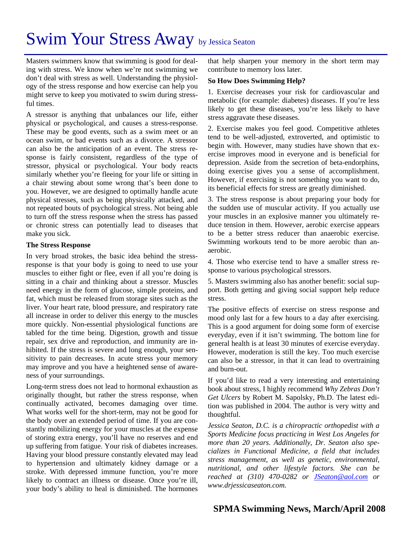# Swim Your Stress Away by Jessica Seaton

Masters swimmers know that swimming is good for dealing with stress. We know when we're not swimming we don't deal with stress as well. Understanding the physiology of the stress response and how exercise can help you might serve to keep you motivated to swim during stressful times.

A stressor is anything that unbalances our life, either physical or psychological, and causes a stress-response. These may be good events, such as a swim meet or an ocean swim, or bad events such as a divorce. A stressor can also be the anticipation of an event. The stress response is fairly consistent, regardless of the type of stressor, physical or psychological. Your body reacts similarly whether you're fleeing for your life or sitting in a chair stewing about some wrong that's been done to you. However, we are designed to optimally handle acute physical stresses, such as being physically attacked, and not repeated bouts of psychological stress. Not being able to turn off the stress response when the stress has passed or chronic stress can potentially lead to diseases that make you sick.

### **The Stress Response**

In very broad strokes, the basic idea behind the stressresponse is that your body is going to need to use your muscles to either fight or flee, even if all you're doing is sitting in a chair and thinking about a stressor. Muscles need energy in the form of glucose, simple proteins, and fat, which must be released from storage sites such as the liver. Your heart rate, blood pressure, and respiratory rate all increase in order to deliver this energy to the muscles more quickly. Non-essential physiological functions are tabled for the time being. Digestion, growth and tissue repair, sex drive and reproduction, and immunity are inhibited. If the stress is severe and long enough, your sensitivity to pain decreases. In acute stress your memory may improve and you have a heightened sense of awareness of your surroundings.

Long-term stress does not lead to hormonal exhaustion as originally thought, but rather the stress response, when continually activated, becomes damaging over time. What works well for the short-term, may not be good for the body over an extended period of time. If you are constantly mobilizing energy for your muscles at the expense of storing extra energy, you'll have no reserves and end up suffering from fatigue. Your risk of diabetes increases. Having your blood pressure constantly elevated may lead to hypertension and ultimately kidney damage or a stroke. With depressed immune function, you're more likely to contract an illness or disease. Once you're ill, your body's ability to heal is diminished. The hormones

that help sharpen your memory in the short term may contribute to memory loss later.

### **So How Does Swimming Help?**

1. Exercise decreases your risk for cardiovascular and metabolic (for example: diabetes) diseases. If you're less likely to get these diseases, you're less likely to have stress aggravate these diseases.

2. Exercise makes you feel good. Competitive athletes tend to be well-adjusted, extroverted, and optimistic to begin with. However, many studies have shown that exercise improves mood in everyone and is beneficial for depression. Aside from the secretion of beta-endorphins, doing exercise gives you a sense of accomplishment. However, if exercising is not something you want to do, its beneficial effects for stress are greatly diminished.

3. The stress response is about preparing your body for the sudden use of muscular activity. If you actually use your muscles in an explosive manner you ultimately reduce tension in them. However, aerobic exercise appears to be a better stress reducer than anaerobic exercise. Swimming workouts tend to be more aerobic than anaerobic.

4. Those who exercise tend to have a smaller stress response to various psychological stressors.

5. Masters swimming also has another benefit: social support. Both getting and giving social support help reduce stress.

The positive effects of exercise on stress response and mood only last for a few hours to a day after exercising. This is a good argument for doing some form of exercise everyday, even if it isn't swimming. The bottom line for general health is at least 30 minutes of exercise everyday. However, moderation is still the key. Too much exercise can also be a stressor, in that it can lead to overtraining and burn-out.

If you'd like to read a very interesting and entertaining book about stress, I highly recommend *Why Zebras Don't Get Ulcers* by Robert M. Sapolsky, Ph.D. The latest edition was published in 2004. The author is very witty and thoughtful.

*Jessica Seaton, D.C. is a chiropractic orthopedist with a Sports Medicine focus practicing in West Los Angeles for more than 20 years. Additionally, Dr. Seaton also specializes in Functional Medicine, a field that includes stress management, as well as genetic, environmental, nutritional, and other lifestyle factors. She can be reached at (310) 470-0282 or JSeaton@aol.com or www.drjessicaseaton.com.*